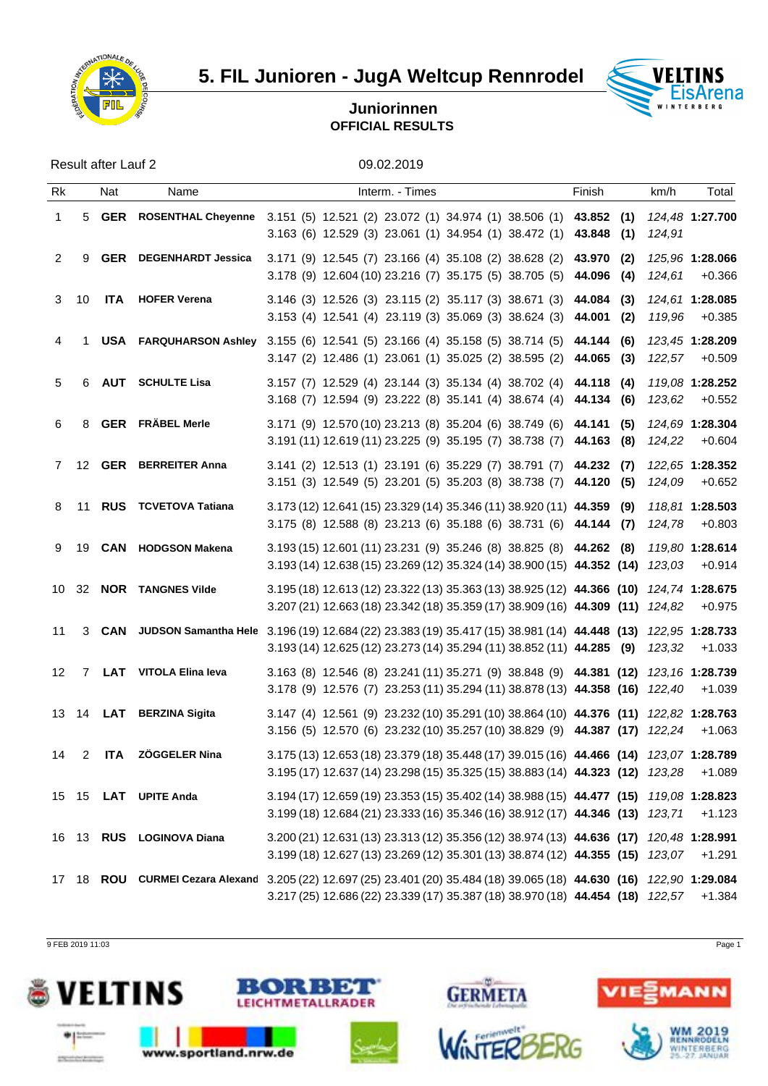

**5. FIL Junioren - JugA Weltcup Rennrodel VELTINS** 



## **Juniorinnen OFFICIAL RESULTS**

Result after Lauf 2 09.02.2019

| Rk           |      | Nat | Name                          | Interm. - Times                                                                                                                                                                                                | Finish | km/h   | Total                                    |  |
|--------------|------|-----|-------------------------------|----------------------------------------------------------------------------------------------------------------------------------------------------------------------------------------------------------------|--------|--------|------------------------------------------|--|
| $\mathbf{1}$ | 5    |     |                               | GER ROSENTHAL Cheyenne 3.151 (5) 12.521 (2) 23.072 (1) 34.974 (1) 38.506 (1) 43.852 (1)<br>3.163 (6) 12.529 (3) 23.061 (1) 34.954 (1) 38.472 (1) 43.848 (1)                                                    |        | 124,91 | 124,48 1:27.700                          |  |
| 2            | 9    |     | <b>GER</b> DEGENHARDT Jessica | 3.171 (9) 12.545 (7) 23.166 (4) 35.108 (2) 38.628 (2) 43.970 (2)<br>3.178 (9) 12.604 (10) 23.216 (7) 35.175 (5) 38.705 (5) 44.096 (4)                                                                          |        | 124,61 | 125,96 1:28.066<br>+0.366                |  |
| 3            | 10   |     | <b>ITA</b> HOFER Verena       | $3.146$ (3) $12.526$ (3) $23.115$ (2) $35.117$ (3) $38.671$ (3) $44.084$ (3)<br>3.153 (4) 12.541 (4) 23.119 (3) 35.069 (3) 38.624 (3) 44.001 (2)                                                               |        | 119,96 | <i>124.61</i> 1: <b>28.085</b><br>+0.385 |  |
| 4            |      |     |                               | USA FARQUHARSON Ashley 3.155 (6) 12.541 (5) 23.166 (4) 35.158 (5) 38.714 (5) 44.144 (6)<br>3.147 (2) 12.486 (1) 23.061 (1) 35.025 (2) 38.595 (2) 44.065 (3) 122,57 +0.509                                      |        |        | 123.45 1:28.209                          |  |
| 5            |      |     | 6 AUT SCHULTE Lisa            | 3.157 (7) 12.529 (4) 23.144 (3) 35.134 (4) 38.702 (4) 44.118 (4) 119,08 1:28.252<br>3.168 (7) 12.594 (9) 23.222 (8) 35.141 (4) 38.674 (4) 44.134 (6)                                                           |        | 123,62 | $+0.552$                                 |  |
| 6            | 8    |     | <b>GER</b> FRÄBEL Merle       | 3.171 (9) 12.570 (10) 23.213 (8) 35.204 (6) 38.749 (6) 44.141 (5)<br>$3.191(11)$ 12.619(11) 23.225 (9) 35.195 (7) 38.738 (7) 44.163 (8)                                                                        |        | 124,22 | 124.69 1:28.304<br>$+0.604$              |  |
|              |      |     | 7 12 GER BERREITER Anna       | 3.141 (2) 12.513 (1) 23.191 (6) 35.229 (7) 38.791 (7) 44.232 (7) 122,65 1:28.352<br>3.151 (3) 12.549 (5) 23.201 (5) 35.203 (8) 38.738 (7) 44.120 (5)                                                           |        | 124,09 | +0.652                                   |  |
|              | 8 11 |     | <b>RUS</b> TCVETOVA Tatiana   | $3.173(12)$ 12.641 (15) 23.329 (14) 35.346 (11) 38.920 (11) 44.359 (9) 118,81 1:28.503<br>$3.175$ (8) 12.588 (8) 23.213 (6) 35.188 (6) 38.731 (6) 44.144 (7) 124,78                                            |        |        | +0.803                                   |  |
|              | 9 19 |     | <b>CAN</b> HODGSON Makena     | 3.193 (15) 12.601 (11) 23.231 (9) 35.246 (8) 38.825 (8) 44.262 (8) 119,80 1:28.614<br>3.193 (14) 12.638 (15) 23.269 (12) 35.324 (14) 38.900 (15) 44.352 (14) 123,03                                            |        |        | +0.914                                   |  |
|              |      |     | 10 32 NOR TANGNES Vilde       | 3.195 (18) 12.613 (12) 23.322 (13) 35.363 (13) 38.925 (12) 44.366 (10) 124,74 1:28.675<br>3.207 (21) 12.663 (18) 23.342 (18) 35.359 (17) 38.909 (16) 44.309 (11) 124,82 +0.975                                 |        |        |                                          |  |
| 11           |      |     |                               | 3 CAN JUDSON Samantha Hele 3.196 (19) 12.684 (22) 23.383 (19) 35.417 (15) 38.981 (14) 44.448 (13) 122,95 1:28.733<br>3.193 (14) 12.625 (12) 23.273 (14) 35.294 (11) 38.852 (11) 44.285 (9) 123,32 +1.033       |        |        |                                          |  |
|              |      |     | 12 7 LAT VITOLA Elina leva    | 3.163 (8) 12.546 (8) 23.241 (11) 35.271 (9) 38.848 (9) 44.381 (12) 123,16 1:28.739<br>3.178 (9) 12.576 (7) 23.253 (11) 35.294 (11) 38.878 (13) 44.358 (16) 122,40 +1.039                                       |        |        |                                          |  |
|              |      |     | 13 14 LAT BERZINA Sigita      | 3.147 (4) 12.561 (9) 23.232 (10) 35.291 (10) 38.864 (10) 44.376 (11) 122,82 1:28.763<br>3.156 (5) 12.570 (6) 23.232 (10) 35.257 (10) 38.829 (9) 44.387 (17) 122,24 +1.063                                      |        |        |                                          |  |
|              |      |     | 14 2 ITA ZÖGGELER Nina        | 3.175 (13) 12.653 (18) 23.379 (18) 35.448 (17) 39.015 (16) 44.466 (14) 123,07 1:28.789<br>3.195 (17) 12.637 (14) 23.298 (15) 35.325 (15) 38.883 (14) 44.323 (12) 123,28                                        |        |        | $+1.089$                                 |  |
|              |      |     | 15 15 LAT UPITE Anda          | 3.194 (17) 12.659 (19) 23.353 (15) 35.402 (14) 38.988 (15) 44.477 (15) 119,08 1:28.823<br>3.199 (18) 12.684 (21) 23.333 (16) 35.346 (16) 38.912 (17) 44.346 (13) 123,71 +1.123                                 |        |        |                                          |  |
|              |      |     | 16 13 RUS LOGINOVA Diana      | 3.200 (21) 12.631 (13) 23.313 (12) 35.356 (12) 38.974 (13) 44.636 (17) 120,48 1:28.991<br>$3.199(18)$ 12.627 (13) 23.269 (12) 35.301 (13) 38.874 (12) 44.355 (15) 123,07 +1.291                                |        |        |                                          |  |
|              |      |     |                               | 17 18 ROU CURMEI Cezara Alexand 3.205 (22) 12.697 (25) 23.401 (20) 35.484 (18) 39.065 (18) 44.630 (16) 122,90 1:29.084<br>3.217 (25) 12.686 (22) 23.339 (17) 35.387 (18) 38.970 (18) 44.454 (18) 122,57 +1.384 |        |        |                                          |  |

9 FEB 2019 11:03 Page 1

deligiously that development





: 1 DW

**METALLRADER** 



**GERMETA**